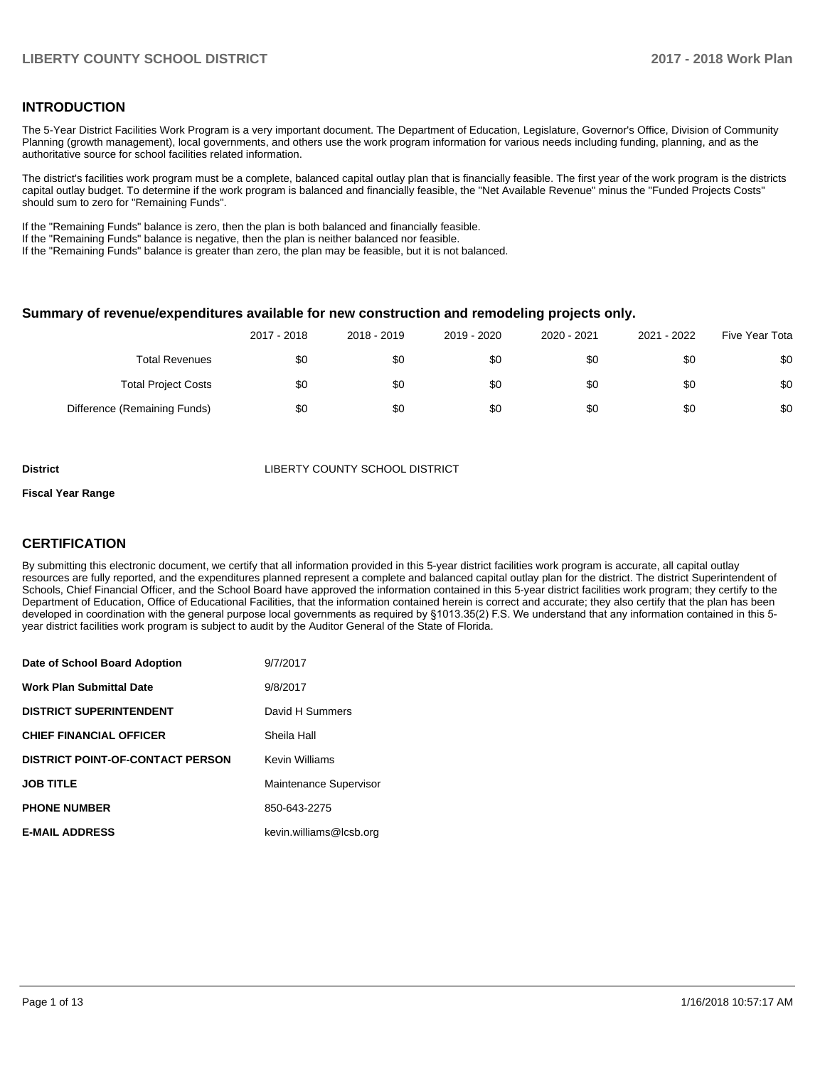# **INTRODUCTION**

The 5-Year District Facilities Work Program is a very important document. The Department of Education, Legislature, Governor's Office, Division of Community Planning (growth management), local governments, and others use the work program information for various needs including funding, planning, and as the authoritative source for school facilities related information.

The district's facilities work program must be a complete, balanced capital outlay plan that is financially feasible. The first year of the work program is the districts capital outlay budget. To determine if the work program is balanced and financially feasible, the "Net Available Revenue" minus the "Funded Projects Costs" should sum to zero for "Remaining Funds".

If the "Remaining Funds" balance is zero, then the plan is both balanced and financially feasible.

If the "Remaining Funds" balance is negative, then the plan is neither balanced nor feasible.

If the "Remaining Funds" balance is greater than zero, the plan may be feasible, but it is not balanced.

### **Summary of revenue/expenditures available for new construction and remodeling projects only.**

|                              | 2017 - 2018 | 2018 - 2019 | 2019 - 2020 | 2020 - 2021 | 2021 - 2022 | Five Year Tota |
|------------------------------|-------------|-------------|-------------|-------------|-------------|----------------|
| <b>Total Revenues</b>        | \$0         | \$0         | \$0         | \$0         | \$0         | \$0            |
| <b>Total Project Costs</b>   | \$0         | \$0         | \$0         | \$0         | \$0         | \$0            |
| Difference (Remaining Funds) | \$0         | \$0         | \$0         | \$0         | \$0         | \$0            |

**District COUNTY SCHOOL DISTRICT** 

# **Fiscal Year Range**

# **CERTIFICATION**

By submitting this electronic document, we certify that all information provided in this 5-year district facilities work program is accurate, all capital outlay resources are fully reported, and the expenditures planned represent a complete and balanced capital outlay plan for the district. The district Superintendent of Schools, Chief Financial Officer, and the School Board have approved the information contained in this 5-year district facilities work program; they certify to the Department of Education, Office of Educational Facilities, that the information contained herein is correct and accurate; they also certify that the plan has been developed in coordination with the general purpose local governments as required by §1013.35(2) F.S. We understand that any information contained in this 5year district facilities work program is subject to audit by the Auditor General of the State of Florida.

| Date of School Board Adoption           | 9/7/2017                |
|-----------------------------------------|-------------------------|
| Work Plan Submittal Date                | 9/8/2017                |
| <b>DISTRICT SUPERINTENDENT</b>          | David H Summers         |
| <b>CHIEF FINANCIAL OFFICER</b>          | Sheila Hall             |
| <b>DISTRICT POINT-OF-CONTACT PERSON</b> | Kevin Williams          |
| JOB TITLE                               | Maintenance Supervisor  |
| <b>PHONE NUMBER</b>                     | 850-643-2275            |
| <b>E-MAIL ADDRESS</b>                   | kevin.williams@lcsb.org |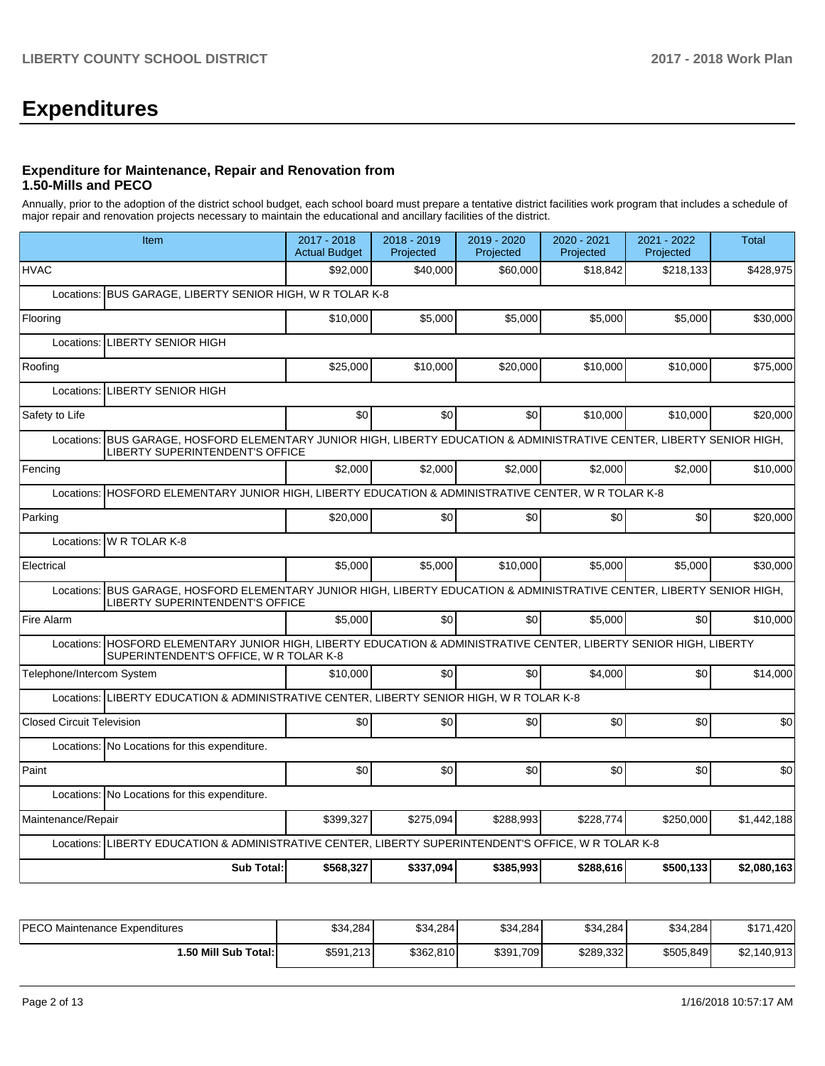# **Expenditures**

# **Expenditure for Maintenance, Repair and Renovation from 1.50-Mills and PECO**

Annually, prior to the adoption of the district school budget, each school board must prepare a tentative district facilities work program that includes a schedule of major repair and renovation projects necessary to maintain the educational and ancillary facilities of the district.

| Item                                                                                                                                                                | 2017 - 2018<br><b>Actual Budget</b> | 2018 - 2019<br>Projected | 2019 - 2020<br>Projected | 2020 - 2021<br>Projected | 2021 - 2022<br>Projected | <b>Total</b> |
|---------------------------------------------------------------------------------------------------------------------------------------------------------------------|-------------------------------------|--------------------------|--------------------------|--------------------------|--------------------------|--------------|
| <b>HVAC</b>                                                                                                                                                         | \$92,000                            | \$40.000                 | \$60,000                 | \$18,842                 | \$218,133                | \$428,975    |
| Locations: BUS GARAGE, LIBERTY SENIOR HIGH, W R TOLAR K-8                                                                                                           |                                     |                          |                          |                          |                          |              |
| Flooring                                                                                                                                                            | \$10,000                            | \$5,000                  | \$5,000                  | \$5,000                  | \$5,000                  | \$30,000     |
| Locations: LIBERTY SENIOR HIGH                                                                                                                                      |                                     |                          |                          |                          |                          |              |
| Roofing                                                                                                                                                             | \$25,000                            | \$10.000                 | \$20,000                 | \$10,000                 | \$10.000                 | \$75,000     |
| Locations: LIBERTY SENIOR HIGH                                                                                                                                      |                                     |                          |                          |                          |                          |              |
| Safety to Life                                                                                                                                                      | \$0                                 | \$0                      | \$0                      | \$10,000                 | \$10.000                 | \$20,000     |
| BUS GARAGE, HOSFORD ELEMENTARY JUNIOR HIGH, LIBERTY EDUCATION & ADMINISTRATIVE CENTER, LIBERTY SENIOR HIGH,<br>Locations:<br><b>LIBERTY SUPERINTENDENT'S OFFICE</b> |                                     |                          |                          |                          |                          |              |
| Fencing                                                                                                                                                             | \$2,000                             | \$2,000                  | \$2,000                  | \$2,000                  | \$2,000                  | \$10,000     |
| Locations: HOSFORD ELEMENTARY JUNIOR HIGH, LIBERTY EDUCATION & ADMINISTRATIVE CENTER, W R TOLAR K-8                                                                 |                                     |                          |                          |                          |                          |              |
| Parking                                                                                                                                                             | \$20,000                            | \$0                      | \$0                      | \$0                      | \$0                      | \$20,000     |
| Locations: W R TOLAR K-8                                                                                                                                            |                                     |                          |                          |                          |                          |              |
| Electrical                                                                                                                                                          | \$5,000                             | \$5.000                  | \$10,000                 | \$5,000                  | \$5.000                  | \$30,000     |
| Locations: BUS GARAGE, HOSFORD ELEMENTARY JUNIOR HIGH, LIBERTY EDUCATION & ADMINISTRATIVE CENTER, LIBERTY SENIOR HIGH,<br><b>LIBERTY SUPERINTENDENT'S OFFICE</b>    |                                     |                          |                          |                          |                          |              |
| Fire Alarm                                                                                                                                                          | \$5,000                             | \$0                      | \$0                      | \$5,000                  | \$0                      | \$10,000     |
| Locations: HOSFORD ELEMENTARY JUNIOR HIGH, LIBERTY EDUCATION & ADMINISTRATIVE CENTER, LIBERTY SENIOR HIGH, LIBERTY<br>SUPERINTENDENT'S OFFICE, W R TOLAR K-8        |                                     |                          |                          |                          |                          |              |
| Telephone/Intercom System                                                                                                                                           | \$10,000                            | \$0                      | \$0                      | \$4,000                  | \$0                      | \$14,000     |
| Locations: LIBERTY EDUCATION & ADMINISTRATIVE CENTER, LIBERTY SENIOR HIGH, W R TOLAR K-8                                                                            |                                     |                          |                          |                          |                          |              |
| <b>Closed Circuit Television</b>                                                                                                                                    | \$0                                 | \$0                      | \$0                      | \$0                      | \$0                      | \$0          |
| Locations: No Locations for this expenditure.                                                                                                                       |                                     |                          |                          |                          |                          |              |
| Paint                                                                                                                                                               | \$0                                 | \$0                      | \$0                      | \$0                      | \$0                      | \$0          |
| Locations: No Locations for this expenditure.                                                                                                                       |                                     |                          |                          |                          |                          |              |
| Maintenance/Repair                                                                                                                                                  | \$399,327                           | \$275,094                | \$288,993                | \$228,774                | \$250,000                | \$1,442,188  |
| Locations: LIBERTY EDUCATION & ADMINISTRATIVE CENTER, LIBERTY SUPERINTENDENT'S OFFICE, W R TOLAR K-8                                                                |                                     |                          |                          |                          |                          |              |
| <b>Sub Total:</b>                                                                                                                                                   | \$568,327                           | \$337,094                | \$385,993                | \$288,616                | \$500,133                | \$2,080,163  |

| <b>PECO Maintenance Expenditures</b> | \$34,284  | \$34,284  | \$34,284  | \$34,284  | \$34,284  | \$171<br>.420 |
|--------------------------------------|-----------|-----------|-----------|-----------|-----------|---------------|
| 1.50 Mill Sub Total:                 | \$591,213 | \$362,810 | \$391,709 | \$289,332 | \$505,849 | \$2,140,913   |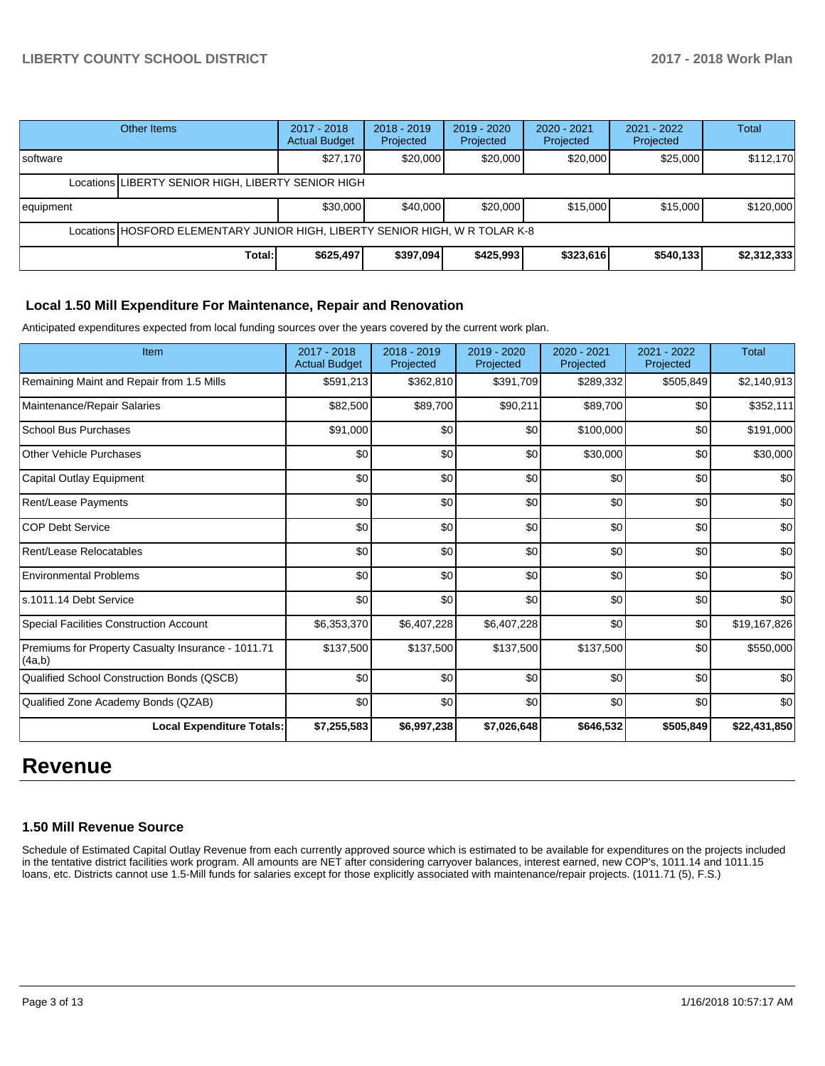# **LIBERTY COUNTY SCHOOL DISTRICT 2017 - 2018 Work Plan**

|                                                                              | Other Items                                        | 2017 - 2018<br><b>Actual Budget</b> | $2018 - 2019$<br>Projected | $2019 - 2020$<br>Projected | 2020 - 2021<br>Projected | 2021 - 2022<br>Projected | Total       |
|------------------------------------------------------------------------------|----------------------------------------------------|-------------------------------------|----------------------------|----------------------------|--------------------------|--------------------------|-------------|
| Isoftware                                                                    |                                                    | \$27,170                            | \$20,000                   | \$20,000                   | \$20,000                 | \$25,000                 | \$112,170   |
|                                                                              | Locations LIBERTY SENIOR HIGH, LIBERTY SENIOR HIGH |                                     |                            |                            |                          |                          |             |
| equipment                                                                    |                                                    | \$30,000                            | \$40,000                   | \$20,000                   | \$15,000                 | \$15,000                 | \$120,000   |
| Locations HOSFORD ELEMENTARY JUNIOR HIGH, LIBERTY SENIOR HIGH, W R TOLAR K-8 |                                                    |                                     |                            |                            |                          |                          |             |
|                                                                              | Total:                                             | \$625,497                           | \$397,094                  | \$425,993                  | \$323,616                | \$540,133                | \$2,312,333 |

## **Local 1.50 Mill Expenditure For Maintenance, Repair and Renovation**

Anticipated expenditures expected from local funding sources over the years covered by the current work plan.

| Item                                                         | 2017 - 2018<br><b>Actual Budget</b> | 2018 - 2019<br>Projected | 2019 - 2020<br>Projected | $2020 - 2021$<br>Projected | 2021 - 2022<br>Projected | <b>Total</b> |
|--------------------------------------------------------------|-------------------------------------|--------------------------|--------------------------|----------------------------|--------------------------|--------------|
| Remaining Maint and Repair from 1.5 Mills                    | \$591,213                           | \$362,810                | \$391,709                | \$289,332                  | \$505,849                | \$2,140,913  |
| Maintenance/Repair Salaries                                  | \$82,500                            | \$89,700                 | \$90,211                 | \$89,700                   | \$0                      | \$352,111    |
| <b>School Bus Purchases</b>                                  | \$91,000                            | \$0                      | \$0                      | \$100,000                  | \$0                      | \$191,000    |
| <b>Other Vehicle Purchases</b>                               | \$0                                 | \$0                      | \$0                      | \$30,000                   | \$0                      | \$30,000     |
| Capital Outlay Equipment                                     | \$0                                 | \$0                      | \$0                      | \$0                        | \$0                      | \$0          |
| Rent/Lease Payments                                          | \$0                                 | \$0                      | \$0                      | \$0                        | \$0                      | \$0          |
| <b>COP Debt Service</b>                                      | \$0                                 | \$0                      | \$0                      | \$0                        | \$0                      | \$0          |
| Rent/Lease Relocatables                                      | \$0                                 | \$0                      | \$0                      | \$0                        | \$0                      | \$0          |
| <b>Environmental Problems</b>                                | \$0                                 | \$0                      | \$0                      | \$0                        | \$0                      | \$0          |
| ls.1011.14 Debt Service                                      | \$0                                 | \$0                      | \$0                      | \$0                        | \$0                      | \$0          |
| <b>Special Facilities Construction Account</b>               | \$6,353,370                         | \$6,407,228              | \$6,407,228              | \$0                        | \$0                      | \$19,167,826 |
| Premiums for Property Casualty Insurance - 1011.71<br>(4a,b) | \$137,500                           | \$137,500                | \$137,500                | \$137,500                  | \$0                      | \$550,000    |
| Qualified School Construction Bonds (QSCB)                   | \$0                                 | \$0                      | \$0                      | \$0                        | \$0                      | \$0          |
| Qualified Zone Academy Bonds (QZAB)                          | \$0                                 | \$0                      | \$0                      | \$0                        | \$0                      | \$0          |
| <b>Local Expenditure Totals:</b>                             | \$7,255,583                         | \$6,997,238              | \$7,026,648              | \$646,532                  | \$505,849                | \$22,431,850 |

# **Revenue**

## **1.50 Mill Revenue Source**

Schedule of Estimated Capital Outlay Revenue from each currently approved source which is estimated to be available for expenditures on the projects included in the tentative district facilities work program. All amounts are NET after considering carryover balances, interest earned, new COP's, 1011.14 and 1011.15 loans, etc. Districts cannot use 1.5-Mill funds for salaries except for those explicitly associated with maintenance/repair projects. (1011.71 (5), F.S.)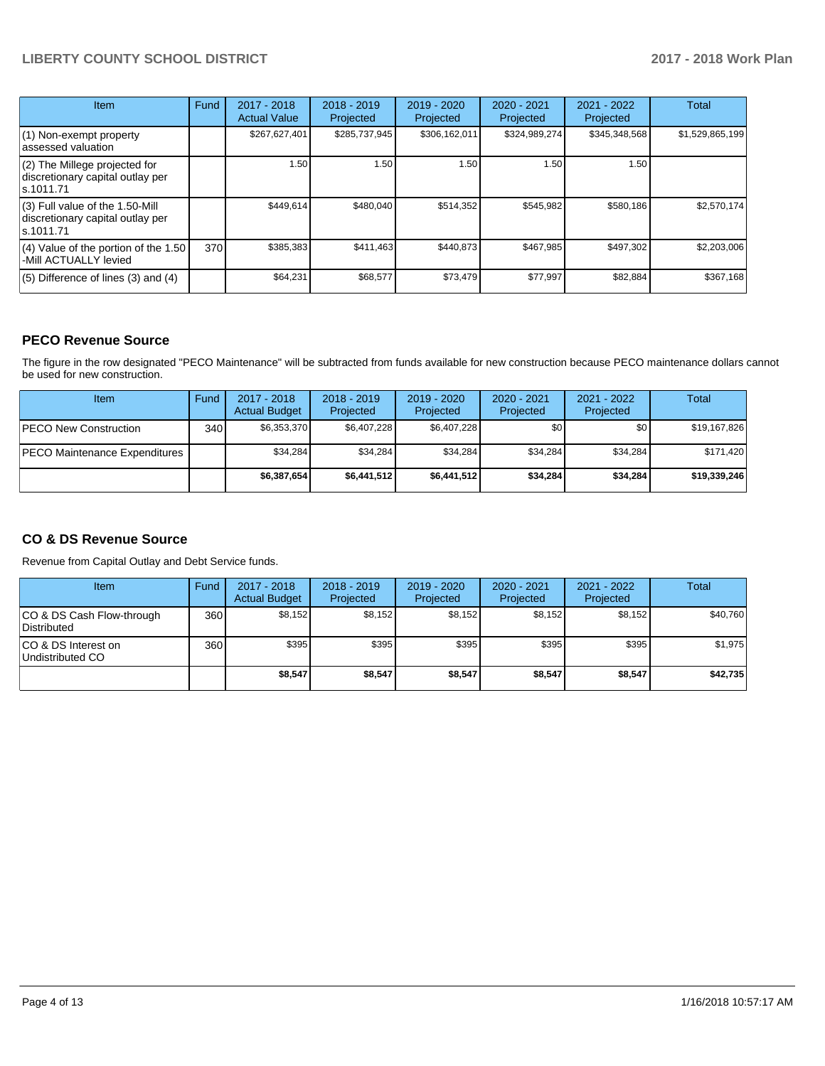# **LIBERTY COUNTY SCHOOL DISTRICT 2017 - 2018 Work Plan**

| Item                                                                                | Fund | 2017 - 2018<br><b>Actual Value</b> | $2018 - 2019$<br>Projected | $2019 - 2020$<br>Projected | $2020 - 2021$<br>Projected | $2021 - 2022$<br>Projected | <b>Total</b>    |
|-------------------------------------------------------------------------------------|------|------------------------------------|----------------------------|----------------------------|----------------------------|----------------------------|-----------------|
| (1) Non-exempt property<br>lassessed valuation                                      |      | \$267,627,401                      | \$285,737,945              | \$306,162,011              | \$324,989,274              | \$345,348,568              | \$1,529,865,199 |
| $(2)$ The Millege projected for<br>discretionary capital outlay per<br>ls.1011.71   |      | 1.50                               | 1.50                       | 1.50                       | 1.50                       | 1.50                       |                 |
| $(3)$ Full value of the 1.50-Mill<br>discretionary capital outlay per<br>ls.1011.71 |      | \$449.614                          | \$480,040                  | \$514,352                  | \$545,982                  | \$580,186                  | \$2,570,174     |
| $(4)$ Value of the portion of the 1.50<br>-Mill ACTUALLY levied                     | 370I | \$385,383                          | \$411,463                  | \$440.873                  | \$467,985                  | \$497,302                  | \$2,203,006     |
| $(5)$ Difference of lines (3) and (4)                                               |      | \$64,231                           | \$68,577                   | \$73,479                   | \$77,997                   | \$82,884                   | \$367,168       |

# **PECO Revenue Source**

The figure in the row designated "PECO Maintenance" will be subtracted from funds available for new construction because PECO maintenance dollars cannot be used for new construction.

| <b>Item</b>                           | Fund         | $2017 - 2018$<br><b>Actual Budget</b> | $2018 - 2019$<br>Projected | 2019 - 2020<br>Projected | $2020 - 2021$<br>Projected | 2021 - 2022<br>Projected | Total        |
|---------------------------------------|--------------|---------------------------------------|----------------------------|--------------------------|----------------------------|--------------------------|--------------|
| <b>PECO New Construction</b>          | 340 <b>I</b> | \$6.353.370                           | \$6,407,228                | \$6,407,228              | \$0                        | \$0                      | \$19,167,826 |
| <b>IPECO Maintenance Expenditures</b> |              | \$34,284                              | \$34.284                   | \$34,284                 | \$34,284                   | \$34,284                 | \$171,420    |
|                                       |              | \$6,387,654                           | \$6,441,512                | \$6,441,512              | \$34.284                   | \$34,284                 | \$19,339,246 |

# **CO & DS Revenue Source**

Revenue from Capital Outlay and Debt Service funds.

| Item                                      | Fund | $2017 - 2018$<br><b>Actual Budget</b> | $2018 - 2019$<br>Projected | 2019 - 2020<br>Projected | $2020 - 2021$<br>Projected | $2021 - 2022$<br>Projected | <b>Total</b> |
|-------------------------------------------|------|---------------------------------------|----------------------------|--------------------------|----------------------------|----------------------------|--------------|
| ICO & DS Cash Flow-through<br>Distributed | 360  | \$8.152                               | \$8,152                    | \$8,152                  | \$8.152                    | \$8.152                    | \$40,760     |
| ICO & DS Interest on<br>Undistributed CO  | 360  | \$395                                 | \$395                      | \$395                    | \$395                      | \$395                      | \$1,975      |
|                                           |      | \$8,547                               | \$8,547                    | \$8,547                  | \$8,547                    | \$8,547                    | \$42,735     |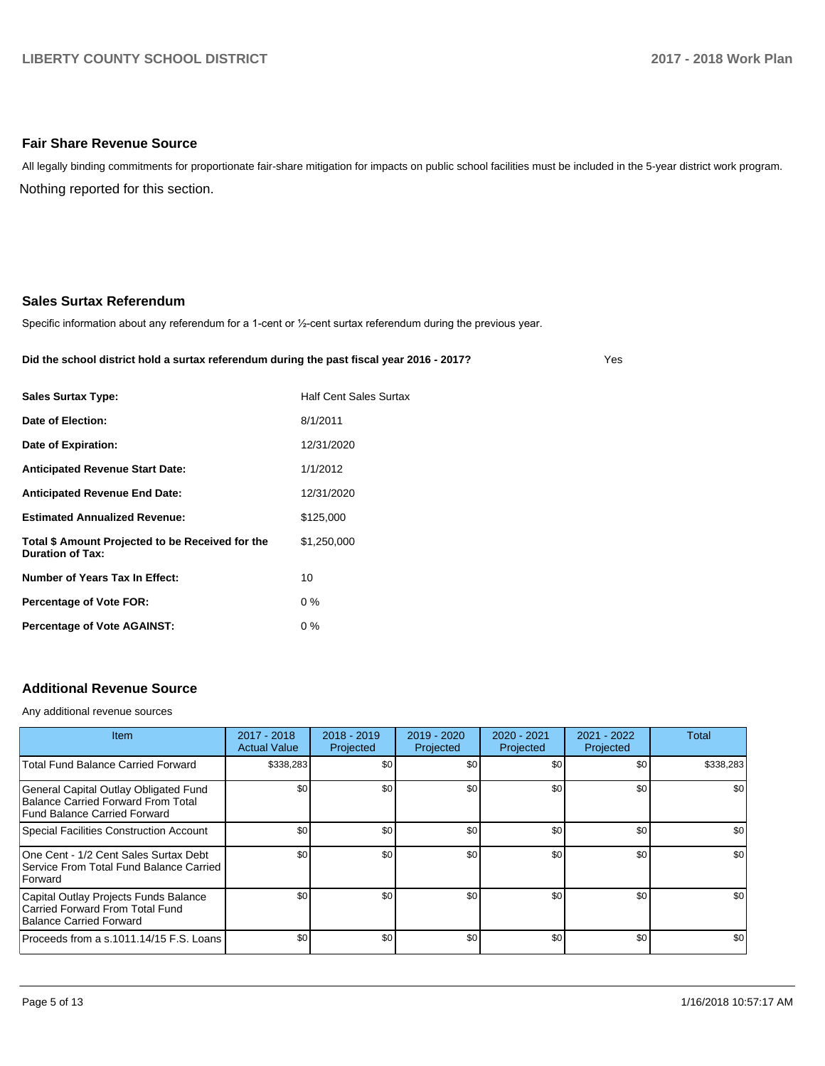## **Fair Share Revenue Source**

Nothing reported for this section. All legally binding commitments for proportionate fair-share mitigation for impacts on public school facilities must be included in the 5-year district work program.

## **Sales Surtax Referendum**

Specific information about any referendum for a 1-cent or 1/2-cent surtax referendum during the previous year.

#### **Did the school district hold a surtax referendum during the past fiscal year 2016 - 2017?**

Yes

| <b>Sales Surtax Type:</b>                                                   | <b>Half Cent Sales Surtax</b> |
|-----------------------------------------------------------------------------|-------------------------------|
| Date of Election:                                                           | 8/1/2011                      |
| Date of Expiration:                                                         | 12/31/2020                    |
| <b>Anticipated Revenue Start Date:</b>                                      | 1/1/2012                      |
| <b>Anticipated Revenue End Date:</b>                                        | 12/31/2020                    |
| <b>Estimated Annualized Revenue:</b>                                        | \$125,000                     |
| Total \$ Amount Projected to be Received for the<br><b>Duration of Tax:</b> | \$1,250,000                   |
| Number of Years Tax In Effect:                                              | 10                            |
| <b>Percentage of Vote FOR:</b>                                              | $0\%$                         |
| <b>Percentage of Vote AGAINST:</b>                                          | $0\%$                         |

# **Additional Revenue Source**

Any additional revenue sources

| <b>Item</b>                                                                                                 | 2017 - 2018<br><b>Actual Value</b> | $2018 - 2019$<br>Projected | 2019 - 2020<br>Projected | 2020 - 2021<br>Projected | $2021 - 2022$<br>Projected | <b>Total</b> |
|-------------------------------------------------------------------------------------------------------------|------------------------------------|----------------------------|--------------------------|--------------------------|----------------------------|--------------|
| <b>Total Fund Balance Carried Forward</b>                                                                   | \$338,283                          | \$0 <sub>1</sub>           | \$0                      | \$0                      | \$0                        | \$338,283    |
| General Capital Outlay Obligated Fund<br>Balance Carried Forward From Total<br>Fund Balance Carried Forward | \$0                                | \$0 <sub>1</sub>           | \$0                      | \$0                      | \$0                        | \$0          |
| Special Facilities Construction Account                                                                     | \$0                                | \$0 <sub>1</sub>           | \$0                      | \$0                      | \$0                        | \$0          |
| One Cent - 1/2 Cent Sales Surtax Debt<br>Service From Total Fund Balance Carried<br>Forward                 | \$0                                | \$0 <sub>1</sub>           | \$0                      | \$0                      | \$0                        | \$0          |
| Capital Outlay Projects Funds Balance<br>Carried Forward From Total Fund<br>Balance Carried Forward         | \$0                                | \$0 <sub>1</sub>           | \$0                      | \$0                      | \$0                        | \$0          |
| Proceeds from a s.1011.14/15 F.S. Loans                                                                     | \$0                                | \$0 <sub>1</sub>           | \$0                      | \$0                      | \$0                        | \$0          |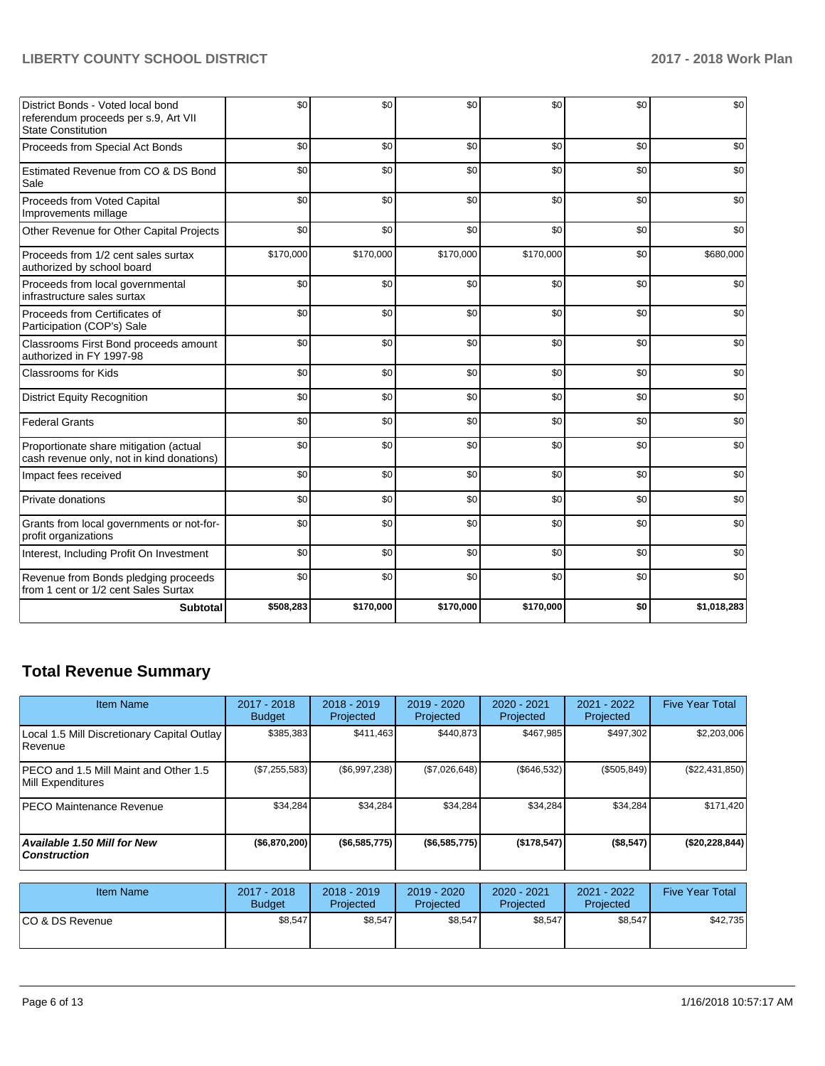# **LIBERTY COUNTY SCHOOL DISTRICT 2017 - 2018 Work Plan**

| District Bonds - Voted local bond<br>referendum proceeds per s.9, Art VII<br><b>State Constitution</b> | \$0       | \$0       | \$0       | \$0       | \$0 | \$0         |
|--------------------------------------------------------------------------------------------------------|-----------|-----------|-----------|-----------|-----|-------------|
| Proceeds from Special Act Bonds                                                                        | \$0       | \$0       | \$0       | \$0       | \$0 | \$0         |
| Estimated Revenue from CO & DS Bond<br>Sale                                                            | \$0       | \$0       | \$0       | \$0       | \$0 | \$0         |
| Proceeds from Voted Capital<br>Improvements millage                                                    | \$0       | \$0       | \$0       | \$0       | \$0 | \$0         |
| Other Revenue for Other Capital Projects                                                               | \$0       | \$0       | \$0       | \$0       | \$0 | \$0         |
| Proceeds from 1/2 cent sales surtax<br>authorized by school board                                      | \$170,000 | \$170,000 | \$170,000 | \$170,000 | \$0 | \$680,000   |
| Proceeds from local governmental<br>infrastructure sales surtax                                        | \$0       | \$0       | \$0       | \$0       | \$0 | \$0         |
| Proceeds from Certificates of<br>Participation (COP's) Sale                                            | \$0       | \$0       | \$0       | \$0       | \$0 | \$0         |
| Classrooms First Bond proceeds amount<br>authorized in FY 1997-98                                      | \$0       | \$0       | \$0       | \$0       | \$0 | \$0         |
| Classrooms for Kids                                                                                    | \$0       | \$0       | \$0       | \$0       | \$0 | \$0         |
| <b>District Equity Recognition</b>                                                                     | \$0       | \$0       | \$0       | \$0       | \$0 | \$0         |
| <b>Federal Grants</b>                                                                                  | \$0       | \$0       | \$0       | \$0       | \$0 | \$0         |
| Proportionate share mitigation (actual<br>cash revenue only, not in kind donations)                    | \$0       | \$0       | \$0       | \$0       | \$0 | \$0         |
| Impact fees received                                                                                   | \$0       | \$0       | \$0       | \$0       | \$0 | \$0         |
| Private donations                                                                                      | \$0       | \$0       | \$0       | \$0       | \$0 | \$0         |
| Grants from local governments or not-for-<br>profit organizations                                      | \$0       | \$0       | \$0       | \$0       | \$0 | \$0         |
| Interest, Including Profit On Investment                                                               | \$0       | \$0       | \$0       | \$0       | \$0 | \$0         |
| Revenue from Bonds pledging proceeds<br>from 1 cent or 1/2 cent Sales Surtax                           | \$0       | \$0       | \$0       | \$0       | \$0 | \$0         |
| Subtotal                                                                                               | \$508,283 | \$170,000 | \$170,000 | \$170,000 | \$0 | \$1,018,283 |

# **Total Revenue Summary**

| Item Name                                                     | 2017 - 2018<br><b>Budget</b> | $2018 - 2019$<br>Projected | $2019 - 2020$<br>Projected | $2020 - 2021$<br>Projected | 2021 - 2022<br>Projected | <b>Five Year Total</b> |
|---------------------------------------------------------------|------------------------------|----------------------------|----------------------------|----------------------------|--------------------------|------------------------|
| Local 1.5 Mill Discretionary Capital Outlay<br><b>Revenue</b> | \$385,383                    | \$411,463                  | \$440.873                  | \$467,985                  | \$497,302                | \$2,203,006            |
| PECO and 1.5 Mill Maint and Other 1.5<br>Mill Expenditures    | (\$7,255,583)                | (\$6,997,238)              | (\$7,026,648)              | (\$646,532)                | (\$505, 849)             | (\$22,431,850)         |
| <b>PECO Maintenance Revenue</b>                               | \$34,284                     | \$34,284                   | \$34,284                   | \$34,284                   | \$34,284                 | \$171,420              |
| Available 1.50 Mill for New<br>  Construction                 | (\$6,870,200)                | (\$6,585,775)              | (\$6,585,775)              | (\$178,547)                | $($ \$8,547)             | (\$20,228,844)         |

| <b>Item Name</b> | 2017 - 2018<br><b>Budget</b> | $2018 - 2019$<br>Projected | 2019 - 2020<br>Projected | 2020 - 2021<br>Projected | $2021 - 2022$<br>Projected | <b>Five Year Total</b> |
|------------------|------------------------------|----------------------------|--------------------------|--------------------------|----------------------------|------------------------|
| ICO & DS Revenue | \$8,547                      | \$8,547                    | \$8.547                  | \$8,547                  | \$8,547                    | \$42,735               |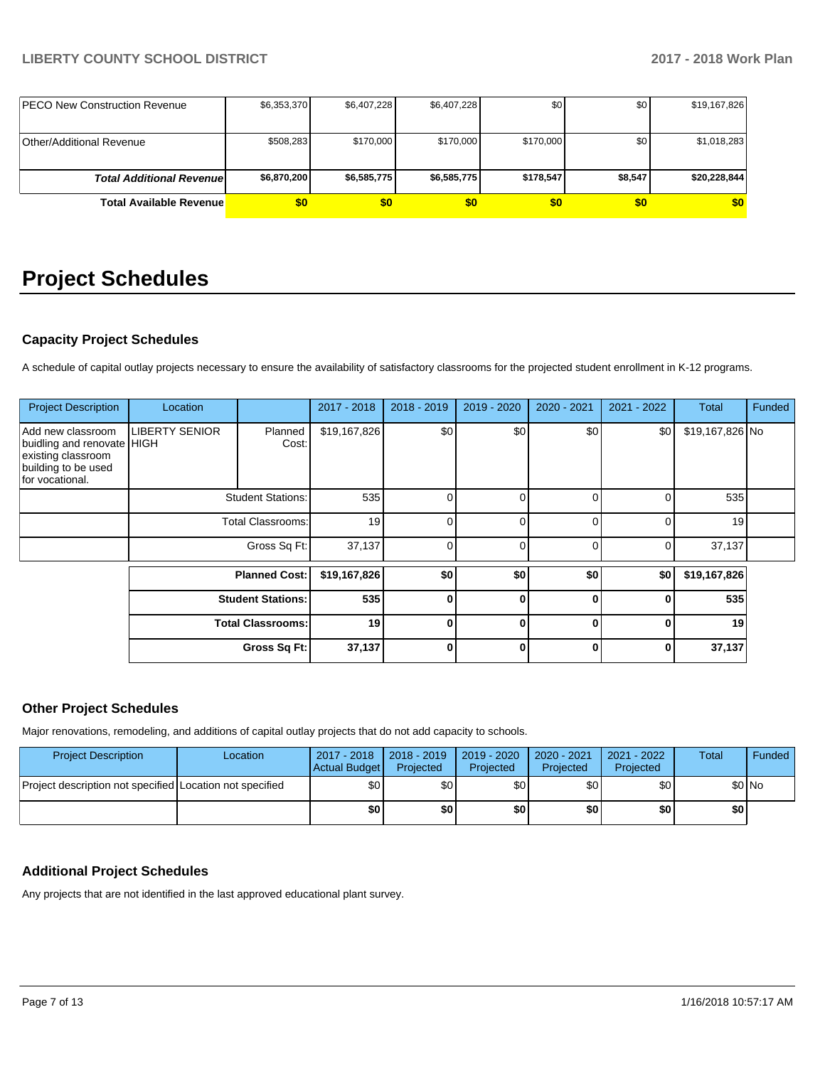| <b>IPECO New Construction Revenue</b> | \$6,353,370 | \$6,407,228 | \$6,407,228 | \$0       | \$0     | \$19,167,826 |
|---------------------------------------|-------------|-------------|-------------|-----------|---------|--------------|
|                                       |             |             |             |           |         |              |
| Other/Additional Revenue              | \$508.283   | \$170,000   | \$170,000   | \$170,000 | \$0     | \$1,018,283  |
|                                       |             |             |             |           |         |              |
| <b>Total Additional Revenuel</b>      | \$6,870,200 | \$6,585,775 | \$6,585,775 | \$178,547 | \$8,547 | \$20,228,844 |
| <b>Total Available Revenue</b>        | \$0         | \$0         | \$0         | \$0       | \$0     | \$0          |

# **Project Schedules**

# **Capacity Project Schedules**

A schedule of capital outlay projects necessary to ensure the availability of satisfactory classrooms for the projected student enrollment in K-12 programs.

| <b>Project Description</b>                                                                                      | Location                 |                          | 2017 - 2018  | 2018 - 2019 | 2019 - 2020  | $2020 - 2021$ | 2021 - 2022 | <b>Total</b>    | Funded |
|-----------------------------------------------------------------------------------------------------------------|--------------------------|--------------------------|--------------|-------------|--------------|---------------|-------------|-----------------|--------|
| Add new classroom<br>buidling and renovate HIGH<br>existing classroom<br>building to be used<br>for vocational. | <b>LIBERTY SENIOR</b>    | Planned<br>Cost:         | \$19,167,826 | \$0         | \$0          | \$0           | \$0         | \$19,167,826 No |        |
|                                                                                                                 |                          | <b>Student Stations:</b> |              | 0           | 0            | O             | 0           | 535             |        |
|                                                                                                                 | <b>Total Classrooms:</b> |                          | 19           | 0           | 0            | 0             | 0           | 19              |        |
|                                                                                                                 | Gross Sq Ft:             |                          | 37,137       | $\Omega$    | $\Omega$     | 0             | 0           | 37,137          |        |
|                                                                                                                 | <b>Planned Cost:</b>     |                          | \$19,167,826 | \$0         | \$0          | \$0           | \$0         | \$19,167,826    |        |
|                                                                                                                 | <b>Student Stations:</b> |                          | 535          | $\bf{0}$    | $\bf{0}$     | U             | 0           | 535             |        |
|                                                                                                                 |                          | <b>Total Classrooms:</b> | 19           | $\bf{0}$    | $\mathbf{0}$ | 0             | 0           | 19              |        |
|                                                                                                                 |                          | Gross Sq Ft:             | 37,137       | $\bf{0}$    | $\bf{0}$     | 0             | 0           | 37,137          |        |

# **Other Project Schedules**

Major renovations, remodeling, and additions of capital outlay projects that do not add capacity to schools.

| <b>Project Description</b>                               | Location | 2017 - 2018   2018 - 2019<br>Actual Budget | Projected        | 2019 - 2020<br>Projected | 2020 - 2021<br>Projected | 2021 - 2022<br>Projected | Total | Funded |
|----------------------------------------------------------|----------|--------------------------------------------|------------------|--------------------------|--------------------------|--------------------------|-------|--------|
| Project description not specified Location not specified |          | \$0                                        | \$0 <sub>1</sub> | \$0                      | \$٥١                     | \$0                      |       | \$0 No |
|                                                          |          | \$0                                        | \$0 I            | \$0                      | \$0                      | \$0                      | \$0   |        |

# **Additional Project Schedules**

Any projects that are not identified in the last approved educational plant survey.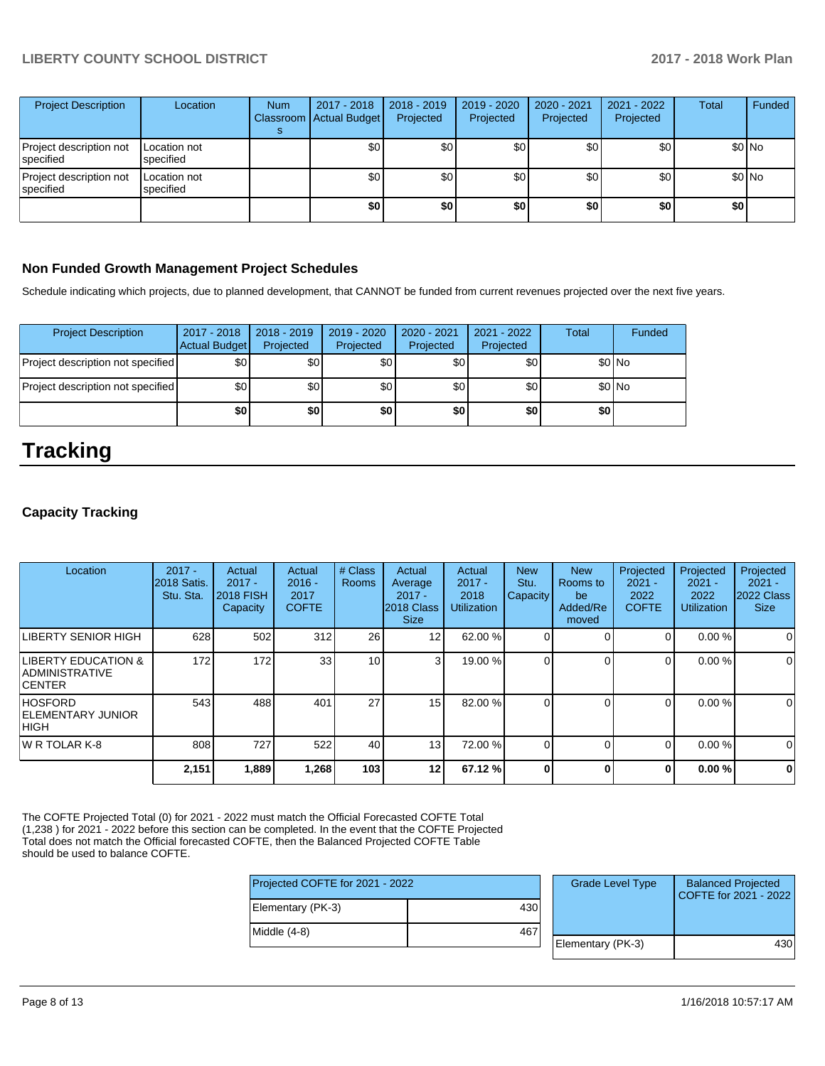| <b>Project Description</b>           | Location                  | <b>Num</b> | 2017 - 2018<br>Classroom Actual Budget | $2018 - 2019$<br>Projected | 2019 - 2020<br>Projected | 2020 - 2021<br>Projected | 2021 - 2022<br>Projected | <b>Total</b> | Funded  |
|--------------------------------------|---------------------------|------------|----------------------------------------|----------------------------|--------------------------|--------------------------|--------------------------|--------------|---------|
| Project description not<br>specified | Location not<br>specified |            | \$0                                    | \$0 <sub>1</sub>           | \$0                      | \$0                      | \$0 <sub>1</sub>         |              | $$0$ No |
| Project description not<br>specified | Location not<br>specified |            | \$0                                    | \$0                        | \$0                      | \$0                      | \$0                      |              | $$0$ No |
|                                      |                           |            | \$0                                    | \$0                        | \$0                      | \$0                      | \$0                      | \$0          |         |

# **Non Funded Growth Management Project Schedules**

Schedule indicating which projects, due to planned development, that CANNOT be funded from current revenues projected over the next five years.

| <b>Project Description</b>        | 2017 - 2018<br>Actual Budget | $2018 - 2019$<br>Projected | 2019 - 2020<br>Projected | 2020 - 2021<br>Projected | 2021 - 2022<br>Projected | Total | Funded  |
|-----------------------------------|------------------------------|----------------------------|--------------------------|--------------------------|--------------------------|-------|---------|
| Project description not specified | \$0 <sub>1</sub>             | \$0 <sub>1</sub>           | \$0 <sub>1</sub>         | \$٥١                     | \$0                      |       | $$0$ No |
| Project description not specified | \$0 <sub>1</sub>             | \$0 <sub>1</sub>           | \$0 <sub>1</sub>         | \$0                      | \$0                      |       | $$0$ No |
|                                   | \$0                          | \$0                        | \$0                      | \$0                      | \$0                      | \$0   |         |

# **Tracking**

## **Capacity Tracking**

| Location                                                                  | $2017 -$<br>2018 Satis.<br>Stu. Sta. | Actual<br>$2017 -$<br><b>2018 FISH</b><br>Capacity | Actual<br>$2016 -$<br>2017<br><b>COFTE</b> | # Class<br><b>Rooms</b> | Actual<br>Average<br>$2017 -$<br>2018 Class<br><b>Size</b> | Actual<br>$2017 -$<br>2018<br><b>Utilization</b> | <b>New</b><br>Stu.<br><b>Capacity</b> | <b>New</b><br>Rooms to<br>be<br>Added/Re<br>moved | Projected<br>$2021 -$<br>2022<br><b>COFTE</b> | Projected<br>$2021 -$<br>2022<br><b>Utilization</b> | Projected<br>$2021 -$<br>2022 Class<br><b>Size</b> |
|---------------------------------------------------------------------------|--------------------------------------|----------------------------------------------------|--------------------------------------------|-------------------------|------------------------------------------------------------|--------------------------------------------------|---------------------------------------|---------------------------------------------------|-----------------------------------------------|-----------------------------------------------------|----------------------------------------------------|
| LIBERTY SENIOR HIGH                                                       | 628                                  | 502                                                | 312                                        | 26                      | $12 \overline{ }$                                          | 62.00 %                                          |                                       |                                                   |                                               | 0.00%                                               | $\Omega$                                           |
| <b>LIBERTY EDUCATION &amp;</b><br><b>ADMINISTRATIVE</b><br><b>ICENTER</b> | 172                                  | 172                                                | 33                                         | 10 <sup>1</sup>         | 3                                                          | 19.00 %                                          | 0                                     |                                                   | 0                                             | 0.00%                                               | 0                                                  |
| <b>HOSFORD</b><br><b>IELEMENTARY JUNIOR</b><br> HIGH                      | 543                                  | 488                                                | 401                                        | 27                      | 15                                                         | 82.00 %                                          | 0                                     |                                                   | 0                                             | 0.00%                                               | $\mathbf 0$                                        |
| IW R TOLAR K-8                                                            | 808                                  | 727                                                | 522                                        | 40                      | 13                                                         | 72.00 %                                          | 0                                     |                                                   | 0                                             | 0.00%                                               | $\Omega$                                           |
|                                                                           | 2,151                                | 1,889                                              | 1,268                                      | 103                     | 12                                                         | 67.12 %                                          | 0                                     | $\bf{0}$                                          | ŋ                                             | 0.00%                                               | 0                                                  |

The COFTE Projected Total (0) for 2021 - 2022 must match the Official Forecasted COFTE Total (1,238 ) for 2021 - 2022 before this section can be completed. In the event that the COFTE Projected Total does not match the Official forecasted COFTE, then the Balanced Projected COFTE Table should be used to balance COFTE.

Proj

| Projected COFTE for 2021 - 2022 |     | <b>Grade Level Type</b> | <b>Balanced Projected</b><br>COFTE for 2021 - 2022 |
|---------------------------------|-----|-------------------------|----------------------------------------------------|
| Elementary (PK-3)               | 430 |                         |                                                    |
| Middle (4-8)                    | 467 |                         |                                                    |
|                                 |     | Elementary (PK-3)       | 430                                                |
|                                 |     |                         |                                                    |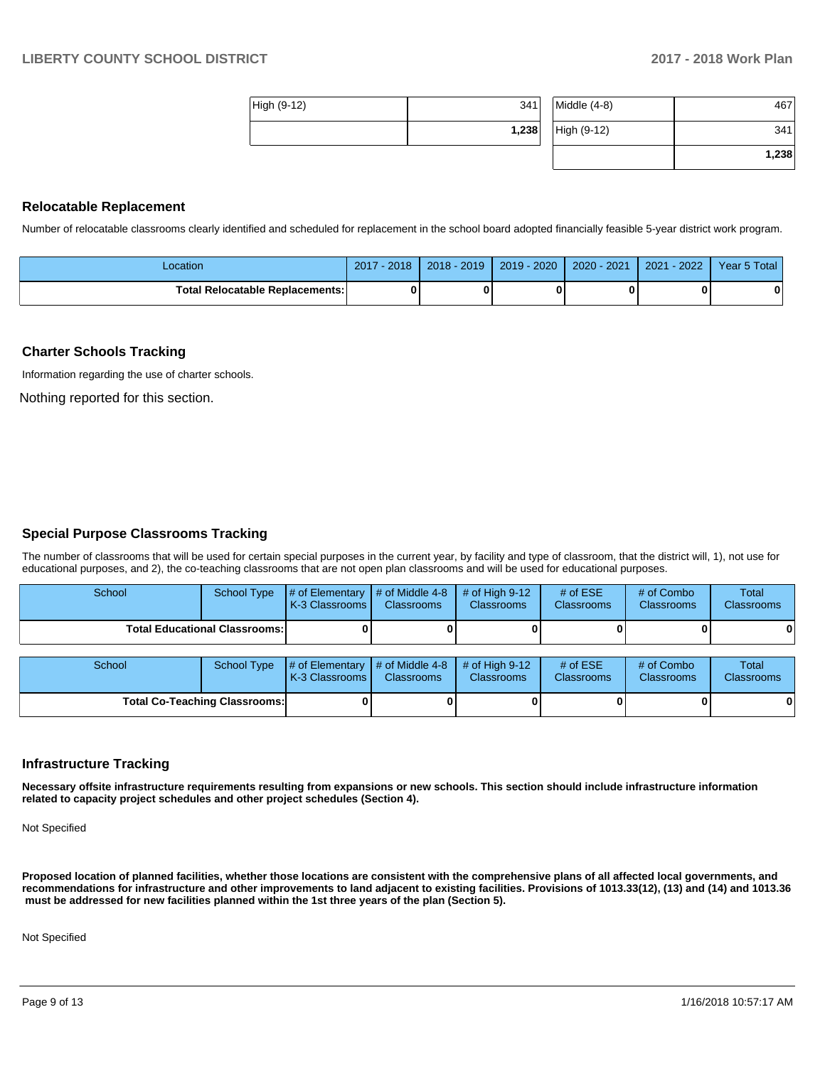| High (9-12) | 341   | Mi   |
|-------------|-------|------|
|             | 1,238 | Hi ( |

|              | 1,238 |
|--------------|-------|
| High (9-12)  | 341   |
| Middle (4-8) | 467   |

## **Relocatable Replacement**

Number of relocatable classrooms clearly identified and scheduled for replacement in the school board adopted financially feasible 5-year district work program.

| ∟ocation                               | $2017 - 2018$ | 2018 - 2019 | $2019 - 2020$ | $2020 - 2021$ | 2021 - 2022 | Year 5 Total |
|----------------------------------------|---------------|-------------|---------------|---------------|-------------|--------------|
| <b>Total Relocatable Replacements:</b> |               |             |               |               |             |              |

#### **Charter Schools Tracking**

Information regarding the use of charter schools.

Nothing reported for this section.

### **Special Purpose Classrooms Tracking**

The number of classrooms that will be used for certain special purposes in the current year, by facility and type of classroom, that the district will, 1), not use for educational purposes, and 2), the co-teaching classrooms that are not open plan classrooms and will be used for educational purposes.

| School                               | School Type | $\#$ of Elementary $\#$ of Middle 4-8<br>K-3 Classrooms | <b>Classrooms</b> | $\#$ of High 9-12<br><b>Classrooms</b> | # of $ESE$<br><b>Classrooms</b> | # of Combo<br><b>Classrooms</b> | <b>Total</b><br><b>Classrooms</b> |
|--------------------------------------|-------------|---------------------------------------------------------|-------------------|----------------------------------------|---------------------------------|---------------------------------|-----------------------------------|
| <b>Total Educational Classrooms:</b> |             |                                                         |                   |                                        |                                 |                                 | 0                                 |
| School                               | School Type | # of Elementary $\#$ of Middle 4-8<br>K-3 Classrooms    | Classrooms        | $\#$ of High 9-12<br><b>Classrooms</b> | # of $ESE$<br><b>Classrooms</b> | # of Combo<br><b>Classrooms</b> | <b>Total</b><br><b>Classrooms</b> |

**Total Co-Teaching Classrooms: 0 0 0 0 0 0**

| <b>Infrastructure Tracking</b> |  |
|--------------------------------|--|

**Necessary offsite infrastructure requirements resulting from expansions or new schools. This section should include infrastructure information related to capacity project schedules and other project schedules (Section 4).** 

Not Specified

**Proposed location of planned facilities, whether those locations are consistent with the comprehensive plans of all affected local governments, and recommendations for infrastructure and other improvements to land adjacent to existing facilities. Provisions of 1013.33(12), (13) and (14) and 1013.36 must be addressed for new facilities planned within the 1st three years of the plan (Section 5).** 

Not Specified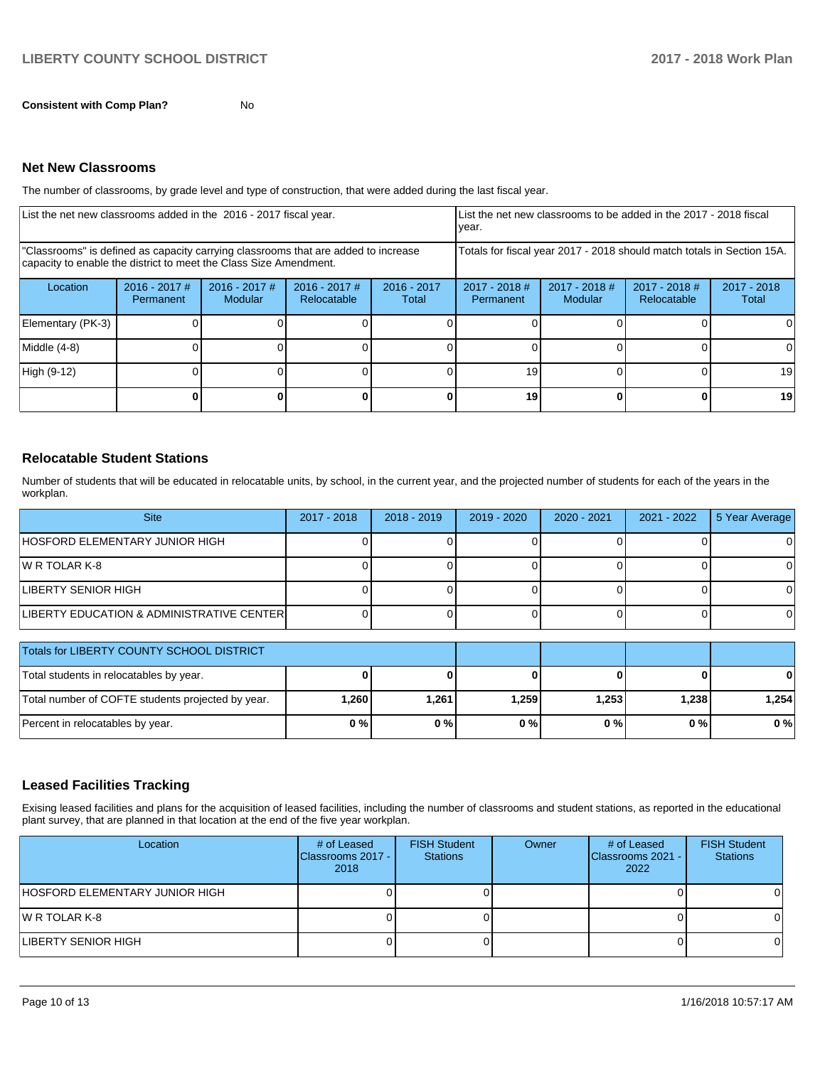**Consistent with Comp Plan?** No

### **Net New Classrooms**

The number of classrooms, by grade level and type of construction, that were added during the last fiscal year.

| List the net new classrooms added in the 2016 - 2017 fiscal year.                                                                                       |                              |                                   |                                |                                                                        | List the net new classrooms to be added in the 2017 - 2018 fiscal<br>year. |                            |                                |                        |
|---------------------------------------------------------------------------------------------------------------------------------------------------------|------------------------------|-----------------------------------|--------------------------------|------------------------------------------------------------------------|----------------------------------------------------------------------------|----------------------------|--------------------------------|------------------------|
| "Classrooms" is defined as capacity carrying classrooms that are added to increase<br>capacity to enable the district to meet the Class Size Amendment. |                              |                                   |                                | Totals for fiscal year 2017 - 2018 should match totals in Section 15A. |                                                                            |                            |                                |                        |
| Location                                                                                                                                                | $2016 - 2017$ #<br>Permanent | $2016 - 2017$ #<br><b>Modular</b> | $2016 - 2017$ #<br>Relocatable | $2016 - 2017$<br>Total                                                 | $2017 - 2018$ #<br><b>Permanent</b>                                        | $2017 - 2018$ #<br>Modular | $2017 - 2018$ #<br>Relocatable | $2017 - 2018$<br>Total |
| Elementary (PK-3)                                                                                                                                       |                              |                                   |                                |                                                                        |                                                                            |                            |                                |                        |
| Middle (4-8)                                                                                                                                            |                              |                                   |                                |                                                                        |                                                                            |                            |                                |                        |
| High (9-12)                                                                                                                                             |                              |                                   |                                |                                                                        | 19                                                                         |                            |                                | 19                     |
|                                                                                                                                                         |                              |                                   |                                |                                                                        | 19                                                                         |                            |                                | 19                     |

## **Relocatable Student Stations**

Number of students that will be educated in relocatable units, by school, in the current year, and the projected number of students for each of the years in the workplan.

| <b>Site</b>                               | 2017 - 2018 | 2018 - 2019 | 2019 - 2020 | 2020 - 2021 | 2021 - 2022 | 5 Year Average |
|-------------------------------------------|-------------|-------------|-------------|-------------|-------------|----------------|
| <b>HOSFORD ELEMENTARY JUNIOR HIGH</b>     |             |             |             |             |             |                |
| IW R TOLAR K-8                            |             |             |             |             |             |                |
| <b>LIBERTY SENIOR HIGH</b>                |             |             |             |             |             |                |
| LIBERTY EDUCATION & ADMINISTRATIVE CENTER |             |             |             |             |             | 01             |

| Totals for LIBERTY COUNTY SCHOOL DISTRICT         |        |         |       |       |       |       |
|---------------------------------------------------|--------|---------|-------|-------|-------|-------|
| Total students in relocatables by year.           |        |         |       |       |       |       |
| Total number of COFTE students projected by year. | 260. ا | 1.261 l | 1,259 | 1.253 | 1,238 | 1.254 |
| Percent in relocatables by year.                  | 0%     | 0%      | 0%    | 0 % I | 0%    | 0%    |

# **Leased Facilities Tracking**

Exising leased facilities and plans for the acquisition of leased facilities, including the number of classrooms and student stations, as reported in the educational plant survey, that are planned in that location at the end of the five year workplan.

| Location                        | # of Leased<br>Classrooms 2017 -<br>2018 | <b>FISH Student</b><br><b>Stations</b> | Owner | # of Leased<br>Classrooms 2021 -<br>2022 | <b>FISH Student</b><br><b>Stations</b> |
|---------------------------------|------------------------------------------|----------------------------------------|-------|------------------------------------------|----------------------------------------|
| IHOSFORD ELEMENTARY JUNIOR HIGH |                                          |                                        |       |                                          |                                        |
| IW R TOLAR K-8                  |                                          |                                        |       |                                          |                                        |
| LIBERTY SENIOR HIGH             |                                          |                                        |       |                                          |                                        |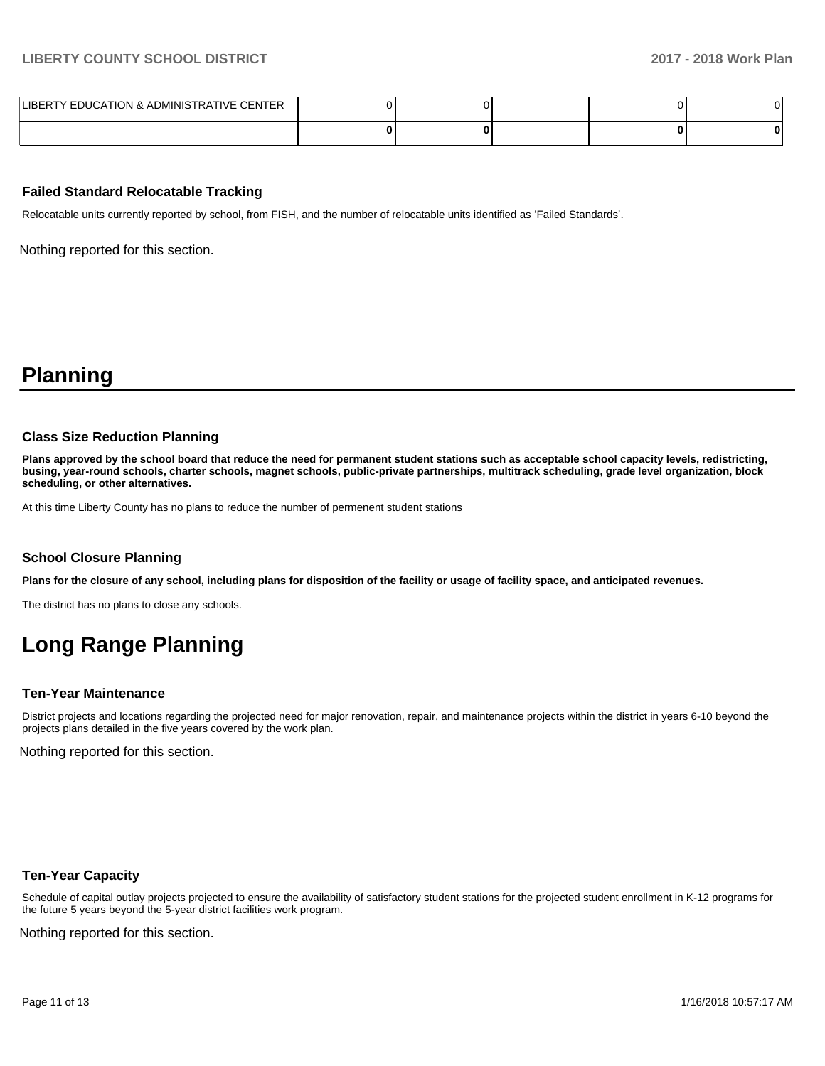| LIBERTY EDUCATION & ADMINISTRATIVE CENTER |  |  |  |
|-------------------------------------------|--|--|--|
|                                           |  |  |  |

### **Failed Standard Relocatable Tracking**

Relocatable units currently reported by school, from FISH, and the number of relocatable units identified as 'Failed Standards'.

Nothing reported for this section.

# **Planning**

#### **Class Size Reduction Planning**

**Plans approved by the school board that reduce the need for permanent student stations such as acceptable school capacity levels, redistricting, busing, year-round schools, charter schools, magnet schools, public-private partnerships, multitrack scheduling, grade level organization, block scheduling, or other alternatives.**

At this time Liberty County has no plans to reduce the number of permenent student stations

#### **School Closure Planning**

**Plans for the closure of any school, including plans for disposition of the facility or usage of facility space, and anticipated revenues.** 

The district has no plans to close any schools.

# **Long Range Planning**

#### **Ten-Year Maintenance**

District projects and locations regarding the projected need for major renovation, repair, and maintenance projects within the district in years 6-10 beyond the projects plans detailed in the five years covered by the work plan.

Nothing reported for this section.

### **Ten-Year Capacity**

Schedule of capital outlay projects projected to ensure the availability of satisfactory student stations for the projected student enrollment in K-12 programs for the future 5 years beyond the 5-year district facilities work program.

Nothing reported for this section.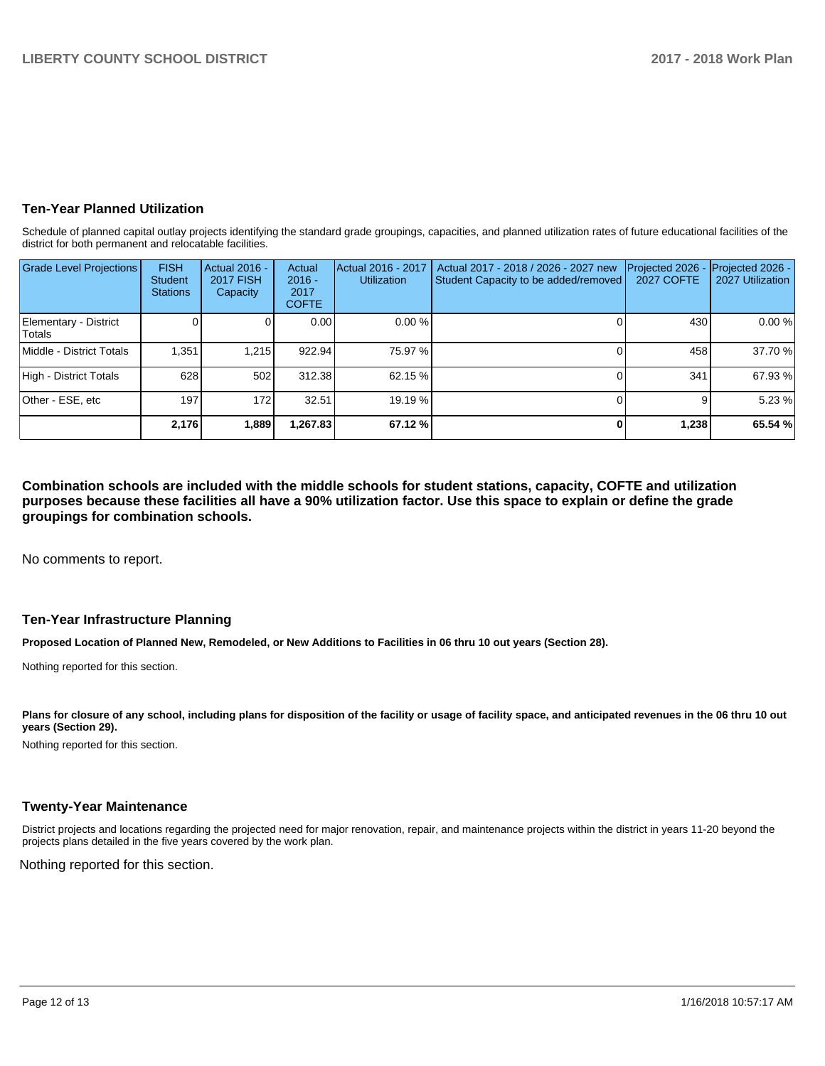# **Ten-Year Planned Utilization**

Schedule of planned capital outlay projects identifying the standard grade groupings, capacities, and planned utilization rates of future educational facilities of the district for both permanent and relocatable facilities.

| <b>Grade Level Projections</b>  | <b>FISH</b><br>Student<br><b>Stations</b> | Actual 2016 -<br><b>2017 FISH</b><br>Capacity | Actual<br>$2016 -$<br>2017<br><b>COFTE</b> | Actual 2016 - 2017<br><b>Utilization</b> | Actual 2017 - 2018 / 2026 - 2027 new<br>Student Capacity to be added/removed | Projected 2026<br>2027 COFTE | Projected 2026 -<br>2027 Utilization |
|---------------------------------|-------------------------------------------|-----------------------------------------------|--------------------------------------------|------------------------------------------|------------------------------------------------------------------------------|------------------------------|--------------------------------------|
| Elementary - District<br>Totals |                                           |                                               | 0.00                                       | 0.00%                                    |                                                                              | 430                          | 0.00 %                               |
| Middle - District Totals        | 1.351                                     | 1.215                                         | 922.94                                     | 75.97 %                                  |                                                                              | 458                          | 37.70 %                              |
| High - District Totals          | 628                                       | 502                                           | 312.38                                     | 62.15 %                                  |                                                                              | 341                          | 67.93 %                              |
| Other - ESE, etc                | 197                                       | 172                                           | 32.51                                      | 19.19 %                                  |                                                                              |                              | 5.23 %                               |
|                                 | 2,176                                     | 1,889                                         | 1,267.83                                   | 67.12 %                                  |                                                                              | 1,238                        | 65.54 %                              |

**Combination schools are included with the middle schools for student stations, capacity, COFTE and utilization purposes because these facilities all have a 90% utilization factor. Use this space to explain or define the grade groupings for combination schools.** 

No comments to report.

## **Ten-Year Infrastructure Planning**

**Proposed Location of Planned New, Remodeled, or New Additions to Facilities in 06 thru 10 out years (Section 28).**

Nothing reported for this section.

Plans for closure of any school, including plans for disposition of the facility or usage of facility space, and anticipated revenues in the 06 thru 10 out **years (Section 29).**

Nothing reported for this section.

## **Twenty-Year Maintenance**

District projects and locations regarding the projected need for major renovation, repair, and maintenance projects within the district in years 11-20 beyond the projects plans detailed in the five years covered by the work plan.

Nothing reported for this section.